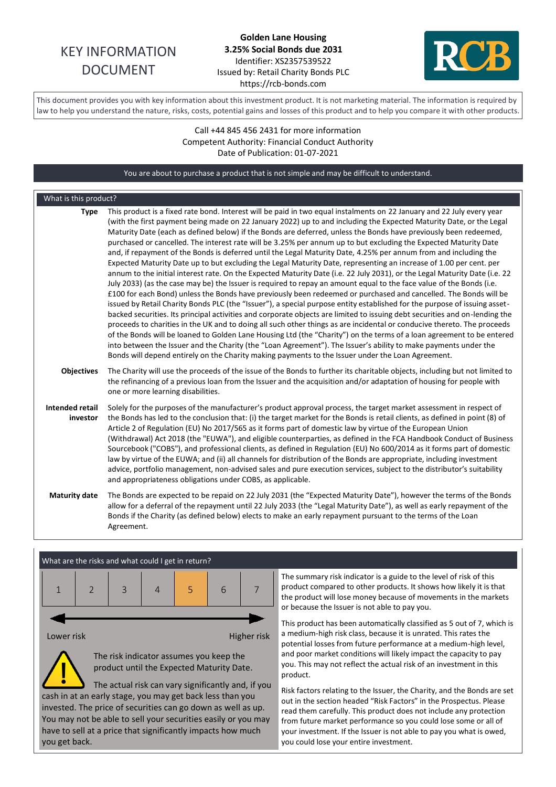# KEY INFORMATION DOCUMENT

# **Golden Lane Housing 3.25% Social Bonds due 2031** Identifier: XS2357539522 Issued by: Retail Charity Bonds PLC https://rcb-bonds.com



This document provides you with key information about this investment product. It is not marketing material. The information is required by law to help you understand the nature, risks, costs, potential gains and losses of this product and to help you compare it with other products.

## Call +44 845 456 2431 for more information Competent Authority: Financial Conduct Authority Date of Publication: 01-07-2021

You are about to purchase a product that is not simple and may be difficult to understand. What is this product? **Type** This product is a fixed rate bond. Interest will be paid in two equal instalments on 22 January and 22 July every year (with the first payment being made on 22 January 2022) up to and including the Expected Maturity Date, or the Legal Maturity Date (each as defined below) if the Bonds are deferred, unless the Bonds have previously been redeemed, purchased or cancelled. The interest rate will be 3.25% per annum up to but excluding the Expected Maturity Date and, if repayment of the Bonds is deferred until the Legal Maturity Date, 4.25% per annum from and including the Expected Maturity Date up to but excluding the Legal Maturity Date, representing an increase of 1.00 per cent. per annum to the initial interest rate. On the Expected Maturity Date (i.e. 22 July 2031), or the Legal Maturity Date (i.e. 22 July 2033) (as the case may be) the Issuer is required to repay an amount equal to the face value of the Bonds (i.e. £100 for each Bond) unless the Bonds have previously been redeemed or purchased and cancelled. The Bonds will be issued by Retail Charity Bonds PLC (the "Issuer"), a special purpose entity established for the purpose of issuing assetbacked securities. Its principal activities and corporate objects are limited to issuing debt securities and on-lending the proceeds to charities in the UK and to doing all such other things as are incidental or conducive thereto. The proceeds of the Bonds will be loaned to Golden Lane Housing Ltd (the "Charity") on the terms of a loan agreement to be entered into between the Issuer and the Charity (the "Loan Agreement"). The Issuer's ability to make payments under the Bonds will depend entirely on the Charity making payments to the Issuer under the Loan Agreement. **Objectives** The Charity will use the proceeds of the issue of the Bonds to further its charitable objects, including but not limited to the refinancing of a previous loan from the Issuer and the acquisition and/or adaptation of housing for people with one or more learning disabilities. **Intended retail investor** Solely for the purposes of the manufacturer's product approval process, the target market assessment in respect of the Bonds has led to the conclusion that: (i) the target market for the Bonds is retail clients, as defined in point (8) of Article 2 of Regulation (EU) No 2017/565 as it forms part of domestic law by virtue of the European Union (Withdrawal) Act 2018 (the "EUWA"), and eligible counterparties, as defined in the FCA Handbook Conduct of Business Sourcebook ("COBS"), and professional clients, as defined in Regulation (EU) No 600/2014 as it forms part of domestic law by virtue of the EUWA; and (ii) all channels for distribution of the Bonds are appropriate, including investment advice, portfolio management, non-advised sales and pure execution services, subject to the distributor's suitability and appropriateness obligations under COBS, as applicable. **Maturity date** The Bonds are expected to be repaid on 22 July 2031 (the "Expected Maturity Date"), however the terms of the Bonds allow for a deferral of the repayment until 22 July 2033 (the "Legal Maturity Date"), as well as early repayment of the Bonds if the Charity (as defined below) elects to make an early repayment pursuant to the terms of the Loan Agreement.



You may not be able to sell your securities easily or you may have to sell at a price that significantly impacts how much you get back.

The summary risk indicator is a guide to the level of risk of this product compared to other products. It shows how likely it is that the product will lose money because of movements in the markets or because the Issuer is not able to pay you.

This product has been automatically classified as 5 out of 7, which is a medium-high risk class, because it is unrated. This rates the potential losses from future performance at a medium-high level, and poor market conditions will likely impact the capacity to pay you. This may not reflect the actual risk of an investment in this product.

Risk factors relating to the Issuer, the Charity, and the Bonds are set out in the section headed "Risk Factors" in the Prospectus. Please read them carefully. This product does not include any protection from future market performance so you could lose some or all of your investment. If the Issuer is not able to pay you what is owed, you could lose your entire investment.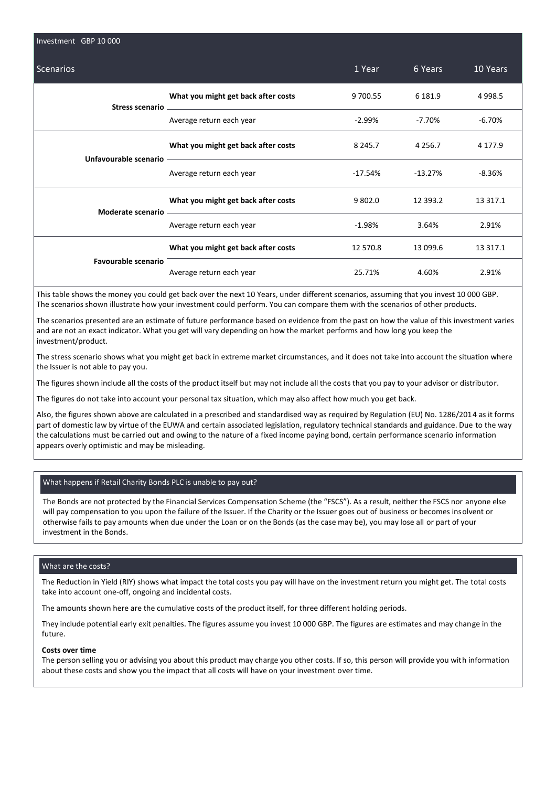| Investment GBP 10 000      |                                                                                                                                                                                                                                                                       |             |             |           |  |
|----------------------------|-----------------------------------------------------------------------------------------------------------------------------------------------------------------------------------------------------------------------------------------------------------------------|-------------|-------------|-----------|--|
| <b>Scenarios</b>           |                                                                                                                                                                                                                                                                       | 1 Year      | 6 Years     | 10 Years  |  |
|                            | What you might get back after costs                                                                                                                                                                                                                                   | 9 700.55    | 6 1 8 1.9   | 4 9 9 8.5 |  |
|                            | Average return each year                                                                                                                                                                                                                                              | -2.99%      | -7.70%      | $-6.70%$  |  |
|                            | What you might get back after costs<br>Unfavourable scenario - The Context of the Context of the Context of the Context of the Context of the Context of the Context of the Context of the Context of the Context of the Context of the Context of the Context of the | 8 2 4 5 . 7 | 4 2 5 6 . 7 | 4 177.9   |  |
|                            | Average return each year                                                                                                                                                                                                                                              | $-17.54\%$  | -13.27%     | $-8.36%$  |  |
|                            | What you might get back after costs                                                                                                                                                                                                                                   | 9 802.0     | 12 3 9 3.2  | 13 3 17.1 |  |
|                            | Average return each year                                                                                                                                                                                                                                              | $-1.98%$    | 3.64%       | 2.91%     |  |
|                            | What you might get back after costs                                                                                                                                                                                                                                   | 12 570.8    | 13 099.6    | 13 317.1  |  |
| <b>Favourable scenario</b> | Average return each year                                                                                                                                                                                                                                              | 25.71%      | 4.60%       | 2.91%     |  |

This table shows the money you could get back over the next 10 Years, under different scenarios, assuming that you invest 10 000 GBP. The scenarios shown illustrate how your investment could perform. You can compare them with the scenarios of other products.

The scenarios presented are an estimate of future performance based on evidence from the past on how the value of this investment varies and are not an exact indicator. What you get will vary depending on how the market performs and how long you keep the investment/product.

The stress scenario shows what you might get back in extreme market circumstances, and it does not take into account the situation where the Issuer is not able to pay you.

The figures shown include all the costs of the product itself but may not include all the costs that you pay to your advisor or distributor.

The figures do not take into account your personal tax situation, which may also affect how much you get back.

Also, the figures shown above are calculated in a prescribed and standardised way as required by Regulation (EU) No. 1286/2014 as it forms part of domestic law by virtue of the EUWA and certain associated legislation, regulatory technical standards and guidance. Due to the way the calculations must be carried out and owing to the nature of a fixed income paying bond, certain performance scenario information appears overly optimistic and may be misleading.

#### What happens if Retail Charity Bonds PLC is unable to pay out?

The Bonds are not protected by the Financial Services Compensation Scheme (the "FSCS"). As a result, neither the FSCS nor anyone else will pay compensation to you upon the failure of the Issuer. If the Charity or the Issuer goes out of business or becomes insolvent or otherwise fails to pay amounts when due under the Loan or on the Bonds (as the case may be), you may lose all or part of your investment in the Bonds.

#### What are the costs?

The Reduction in Yield (RIY) shows what impact the total costs you pay will have on the investment return you might get. The total costs take into account one-off, ongoing and incidental costs.

The amounts shown here are the cumulative costs of the product itself, for three different holding periods.

They include potential early exit penalties. The figures assume you invest 10 000 GBP. The figures are estimates and may change in the future.

#### **Costs over time**

The person selling you or advising you about this product may charge you other costs. If so, this person will provide you with information about these costs and show you the impact that all costs will have on your investment over time.